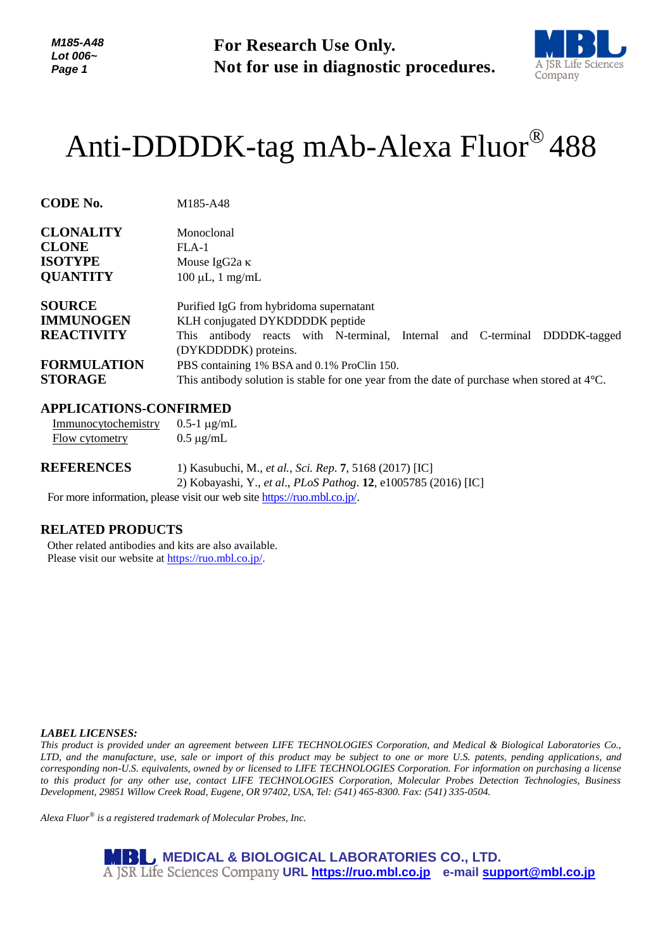*M185-A48 Lot 006~ Page 1*

**For Research Use Only. Not for use in diagnostic procedures.**



# Anti-DDDDK-tag mAb-Alexa Fluor® 488

| Monoclonal                                                                                            |  |
|-------------------------------------------------------------------------------------------------------|--|
| $FLA-1$                                                                                               |  |
| Mouse IgG2a $\kappa$                                                                                  |  |
| $100 \mu L$ , 1 mg/mL                                                                                 |  |
| Purified IgG from hybridoma supernatant                                                               |  |
| KLH conjugated DYKDDDDK peptide                                                                       |  |
| antibody reacts with N-terminal, Internal and C-terminal DDDDK-tagged<br>This                         |  |
| (DYKDDDDK) proteins.                                                                                  |  |
| PBS containing 1% BSA and 0.1% ProClin 150.                                                           |  |
| This antibody solution is stable for one year from the date of purchase when stored at $4^{\circ}$ C. |  |
|                                                                                                       |  |

## **APPLICATIONS-CONFIRMED**

Immunocytochemistry  $0.5-1 \mu g/mL$ 

**CODE No.** M185-A48

| Flow cytometry    | $0.5 \mu$ g/mL                                                                                                             |
|-------------------|----------------------------------------------------------------------------------------------------------------------------|
| <b>REFERENCES</b> | 1) Kasubuchi, M., et al., Sci. Rep. 7, 5168 (2017) [IC]<br>2) Kobayashi, Y., et al., PLoS Pathog. 12, e1005785 (2016) [IC] |
|                   |                                                                                                                            |

For more information, please visit our web site [https://ruo.mbl.co.jp/.](https://ruo.mbl.co.jp/)

#### **RELATED PRODUCTS**

Other related antibodies and kits are also available. Please visit our website at [https://ruo.mbl.co.jp/.](https://ruo.mbl.co.jp/)

#### *LABEL LICENSES:*

*This product is provided under an agreement between LIFE TECHNOLOGIES Corporation, and Medical & Biological Laboratories Co., LTD, and the manufacture, use, sale or import of this product may be subject to one or more U.S. patents, pending applications, and corresponding non-U.S. equivalents, owned by or licensed to LIFE TECHNOLOGIES Corporation. For information on purchasing a license to this product for any other use, contact LIFE TECHNOLOGIES Corporation, Molecular Probes Detection Technologies, Business Development, 29851 Willow Creek Road, Eugene, OR 97402, USA, Tel: (541) 465-8300. Fax: (541) 335-0504.*

*Alexa Fluor® is a registered trademark of Molecular Probes, Inc.*

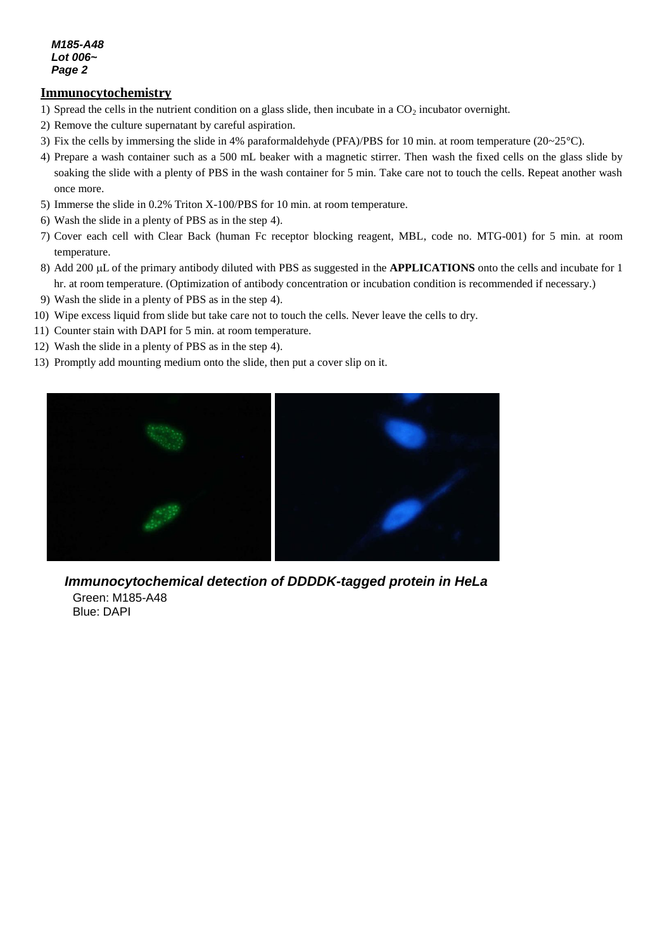#### *M185-A48 Lot 006~ Page 2*

## **Immunocytochemistry**

- 1) Spread the cells in the nutrient condition on a glass slide, then incubate in a CO<sub>2</sub> incubator overnight.
- *e* 2) Remove the culture supernatant by careful aspiration.
- 3) Fix the cells by immersing the slide in 4% paraformaldehyde (PFA)/PBS for 10 min. at room temperature (20~25°C).
- *3* 4) Prepare a wash container such as a 500 mL beaker with a magnetic stirrer. Then wash the fixed cells on the glass slide by soaking the slide with a plenty of PBS in the wash container for 5 min. Take care not to touch the cells. Repeat another wash once more.
- 5) Immerse the slide in 0.2% Triton X-100/PBS for 10 min. at room temperature.
- 6) Wash the slide in a plenty of PBS as in the step 4).
- 7) Cover each cell with Clear Back (human Fc receptor blocking reagent, MBL, code no. MTG-001) for 5 min. at room temperature.
- 8) Add 200 µL of the primary antibody diluted with PBS as suggested in the **APPLICATIONS** onto the cells and incubate for 1 hr. at room temperature. (Optimization of antibody concentration or incubation condition is recommended if necessary.)
- 9) Wash the slide in a plenty of PBS as in the step 4).
- 10) Wipe excess liquid from slide but take care not to touch the cells. Never leave the cells to dry.
- 11) Counter stain with DAPI for 5 min. at room temperature.
- 12) Wash the slide in a plenty of PBS as in the step 4).
- 13) Promptly add mounting medium onto the slide, then put a cover slip on it.



*Immunocytochemical detection of DDDDK-tagged protein in HeLa* Green: M185-A48 Blue: DAPI